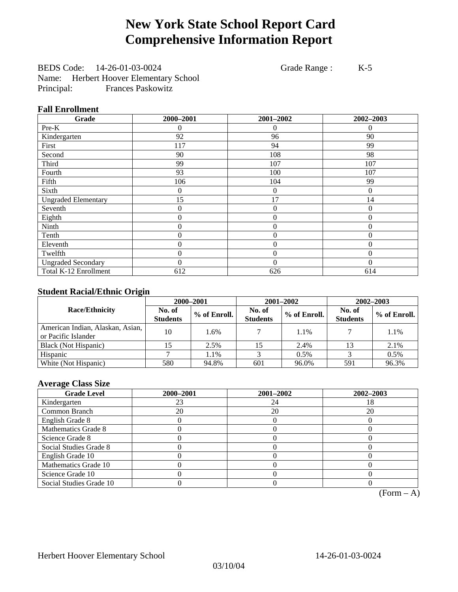# **New York State School Report Card Comprehensive Information Report**

BEDS Code: 14-26-01-03-0024 Grade Range : K-5 Name: Herbert Hoover Elementary School Principal: Frances Paskowitz

### **Fall Enrollment**

| Grade                      | 2000-2001      | 2001-2002        | 2002-2003 |
|----------------------------|----------------|------------------|-----------|
| Pre-K                      | $\overline{0}$ | 0                | $\theta$  |
| Kindergarten               | 92             | 96               | 90        |
| First                      | 117            | 94               | 99        |
| Second                     | 90             | 108              | 98        |
| Third                      | 99             | 107              | 107       |
| Fourth                     | 93             | 100              | 107       |
| Fifth                      | 106            | 104              | 99        |
| Sixth                      | 0              | $\boldsymbol{0}$ | $\Omega$  |
| <b>Ungraded Elementary</b> | 15             | 17               | 14        |
| Seventh                    | $\overline{0}$ | $\theta$         | $\theta$  |
| Eighth                     | $\overline{0}$ | $\overline{0}$   | $\Omega$  |
| Ninth                      | 0              | $\overline{0}$   | $\theta$  |
| Tenth                      | 0              | $\overline{0}$   | $\Omega$  |
| Eleventh                   | 0              | $\overline{0}$   | $\theta$  |
| Twelfth                    | 0              | $\overline{0}$   | $\Omega$  |
| <b>Ungraded Secondary</b>  | $\theta$       | $\theta$         | $\Omega$  |
| Total K-12 Enrollment      | 612            | 626              | 614       |

### **Student Racial/Ethnic Origin**

|                                                         | 2000-2001                 |              |                           | 2001-2002    | $2002 - 2003$             |                |
|---------------------------------------------------------|---------------------------|--------------|---------------------------|--------------|---------------------------|----------------|
| <b>Race/Ethnicity</b>                                   | No. of<br><b>Students</b> | % of Enroll. | No. of<br><b>Students</b> | % of Enroll. | No. of<br><b>Students</b> | $%$ of Enroll. |
| American Indian, Alaskan, Asian,<br>or Pacific Islander | 10                        | 1.6%         |                           | 1.1%         |                           | 1.1%           |
| Black (Not Hispanic)                                    |                           | 2.5%         |                           | 2.4%         | 13                        | 2.1%           |
| Hispanic                                                |                           | 1.1%         |                           | 0.5%         |                           | 0.5%           |
| White (Not Hispanic)                                    | 580                       | 94.8%        | 601                       | 96.0%        | 591                       | 96.3%          |

### **Average Class Size**

| <b>Grade Level</b>      | 2000-2001 | 2001-2002 | 2002-2003 |
|-------------------------|-----------|-----------|-----------|
| Kindergarten            | 23        | 24        |           |
| Common Branch           | 20        | 20        | 20        |
| English Grade 8         |           |           |           |
| Mathematics Grade 8     |           |           |           |
| Science Grade 8         |           |           |           |
| Social Studies Grade 8  |           |           |           |
| English Grade 10        |           |           |           |
| Mathematics Grade 10    |           |           |           |
| Science Grade 10        |           |           |           |
| Social Studies Grade 10 |           |           |           |

 $(Form - A)$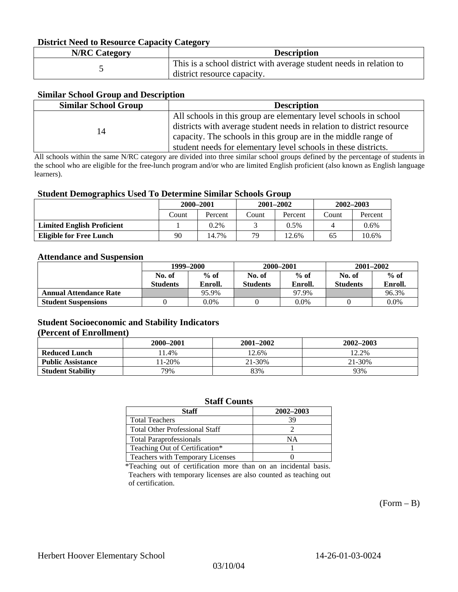### **District Need to Resource Capacity Category**

| <b>N/RC Category</b> | <b>Description</b>                                                                                 |
|----------------------|----------------------------------------------------------------------------------------------------|
|                      | This is a school district with average student needs in relation to<br>district resource capacity. |

### **Similar School Group and Description**

| <b>Similar School Group</b> | <b>Description</b>                                                    |
|-----------------------------|-----------------------------------------------------------------------|
|                             | All schools in this group are elementary level schools in school      |
| 14                          | districts with average student needs in relation to district resource |
|                             | capacity. The schools in this group are in the middle range of        |
|                             | student needs for elementary level schools in these districts.        |

All schools within the same N/RC category are divided into three similar school groups defined by the percentage of students in the school who are eligible for the free-lunch program and/or who are limited English proficient (also known as English language learners).

#### **Student Demographics Used To Determine Similar Schools Group**

|                                   | 2000-2001 |         | $2001 - 2002$ |          | $2002 - 2003$ |         |
|-----------------------------------|-----------|---------|---------------|----------|---------------|---------|
|                                   | Count     | Percent | Count         | Percent  | Count         | Percent |
| <b>Limited English Proficient</b> |           | $0.2\%$ |               | $0.5\%$  |               | $0.6\%$ |
| Eligible for Free Lunch           | 90        | 14.7%   | 79            | $12.6\%$ | 65            | 10.6%   |

#### **Attendance and Suspension**

|                               | 1999–2000        |         | 2000-2001        |         | $2001 - 2002$   |         |
|-------------------------------|------------------|---------|------------------|---------|-----------------|---------|
|                               | $%$ of<br>No. of |         | $%$ of<br>No. of |         | No. of          | $%$ of  |
|                               | <b>Students</b>  | Enroll. | <b>Students</b>  | Enroll. | <b>Students</b> | Enroll. |
| <b>Annual Attendance Rate</b> |                  | 95.9%   |                  | 97.9%   |                 | 96.3%   |
| <b>Student Suspensions</b>    |                  | 0.0%    |                  | $0.0\%$ |                 | 0.0%    |

### **Student Socioeconomic and Stability Indicators (Percent of Enrollment)**

|                          | 2000–2001 | $2001 - 2002$ | 2002-2003 |
|--------------------------|-----------|---------------|-----------|
| <b>Reduced Lunch</b>     | 1.4%      | 12.6%         | 12.2%     |
| <b>Public Assistance</b> | $1-20%$   | 21-30%        | 21-30%    |
| <b>Student Stability</b> | 79%       | 83%           | 93%       |

#### **Staff Counts**

| Staff                                 | 2002-2003 |
|---------------------------------------|-----------|
| <b>Total Teachers</b>                 | 39        |
| <b>Total Other Professional Staff</b> |           |
| <b>Total Paraprofessionals</b>        | NΑ        |
| Teaching Out of Certification*        |           |
| Teachers with Temporary Licenses      |           |

\*Teaching out of certification more than on an incidental basis. Teachers with temporary licenses are also counted as teaching out of certification.

 $(Form - B)$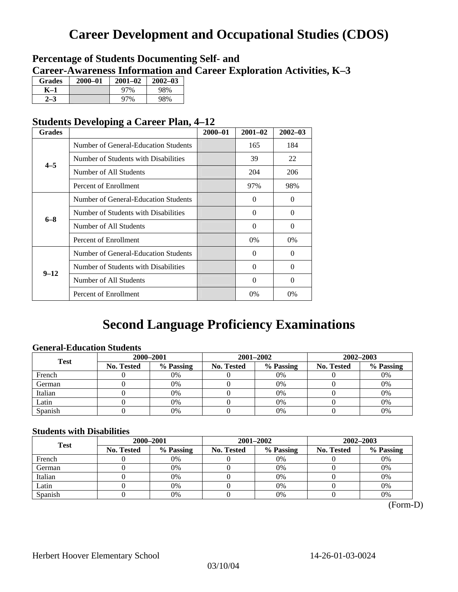# **Career Development and Occupational Studies (CDOS)**

### **Percentage of Students Documenting Self- and Career-Awareness Information and Career Exploration Activities, K–3**

| <b>Grades</b> | 2000-01 | $2001 - 02$ | $2002 - 03$ |
|---------------|---------|-------------|-------------|
| K–1           |         | 97%         | 98%         |
| $2 - 3$       |         | 97%         | 98%         |

### **Students Developing a Career Plan, 4–12**

| <b>Grades</b> |                                      | $2000 - 01$ | $2001 - 02$ | $2002 - 03$ |
|---------------|--------------------------------------|-------------|-------------|-------------|
|               | Number of General-Education Students |             | 165         | 184         |
| $4 - 5$       | Number of Students with Disabilities |             | 39          | 22          |
|               | Number of All Students               |             | 204         | 206         |
|               | Percent of Enrollment                |             | 97%         | 98%         |
|               | Number of General-Education Students |             | $\Omega$    | 0           |
| $6 - 8$       | Number of Students with Disabilities |             | $\Omega$    | $\Omega$    |
|               | Number of All Students               |             | $\Omega$    | $\Omega$    |
|               | Percent of Enrollment                |             | $0\%$       | $0\%$       |
|               | Number of General-Education Students |             | $\Omega$    | $\Omega$    |
| $9 - 12$      | Number of Students with Disabilities |             | $\Omega$    | $\theta$    |
|               | Number of All Students               |             | $\Omega$    | 0           |
|               | Percent of Enrollment                |             | 0%          | $0\%$       |

# **Second Language Proficiency Examinations**

### **General-Education Students**

| <b>Test</b> | 2000-2001         |           |            | 2001-2002 | $2002 - 2003$ |           |
|-------------|-------------------|-----------|------------|-----------|---------------|-----------|
|             | <b>No. Tested</b> | % Passing | No. Tested | % Passing | No. Tested    | % Passing |
| French      |                   | 0%        |            | $0\%$     |               | 0%        |
| German      |                   | 0%        |            | $0\%$     |               | 0%        |
| Italian     |                   | 0%        |            | 0%        |               | 0%        |
| Latin       |                   | 0%        |            | 0%        |               | 0%        |
| Spanish     |                   | 0%        |            | 0%        |               | 0%        |

### **Students with Disabilities**

| <b>Test</b> | 2000-2001  |           |            | 2001-2002 | 2002-2003  |           |  |
|-------------|------------|-----------|------------|-----------|------------|-----------|--|
|             | No. Tested | % Passing | No. Tested | % Passing | No. Tested | % Passing |  |
| French      |            | 0%        |            | 0%        |            | 0%        |  |
| German      |            | 0%        |            | $0\%$     |            | 0%        |  |
| Italian     |            | 0%        |            | 0%        |            | 0%        |  |
| Latin       |            | 0%        |            | 0%        |            | 0%        |  |
| Spanish     |            | 0%        |            | 0%        |            | 0%        |  |

 <sup>(</sup>Form-D)